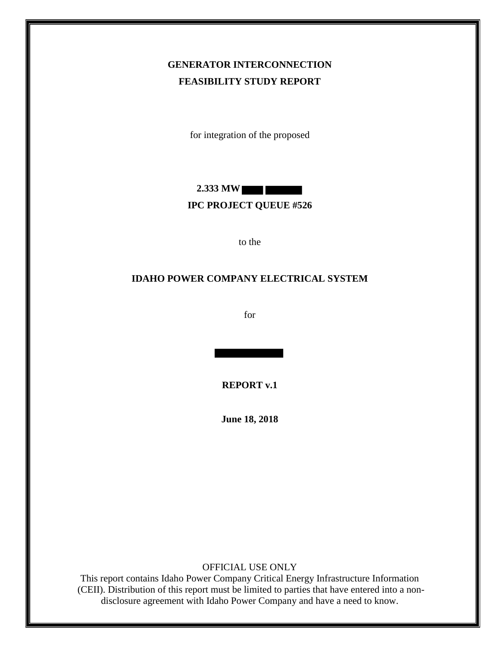# **GENERATOR INTERCONNECTION FEASIBILITY STUDY REPORT**

for integration of the proposed

**2.333 MW**

#### **IPC PROJECT QUEUE #526**

to the

#### **IDAHO POWER COMPANY ELECTRICAL SYSTEM**

for

**REPORT v.1**

**June 18, 2018**

OFFICIAL USE ONLY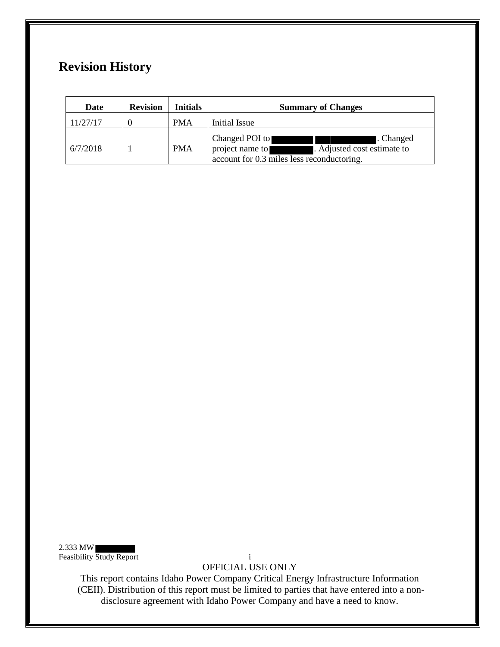# **Revision History**

| Date     | <b>Revision</b> | <b>Initials</b> | <b>Summary of Changes</b>                                                                                                   |
|----------|-----------------|-----------------|-----------------------------------------------------------------------------------------------------------------------------|
| 11/27/17 |                 | <b>PMA</b>      | Initial Issue                                                                                                               |
| 6/7/2018 |                 | <b>PMA</b>      | Changed POI to<br>. Changed<br>project name to<br>. Adjusted cost estimate to<br>account for 0.3 miles less reconductoring. |

2.333 MW Feasibility Study Report i

OFFICIAL USE ONLY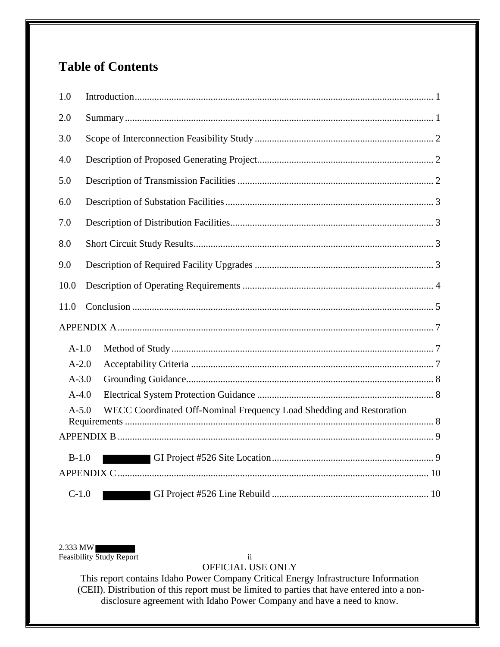# **Table of Contents**

| 1.0       |                                                                      |
|-----------|----------------------------------------------------------------------|
| 2.0       |                                                                      |
| 3.0       |                                                                      |
| 4.0       |                                                                      |
| 5.0       |                                                                      |
| 6.0       |                                                                      |
| 7.0       |                                                                      |
| 8.0       |                                                                      |
| 9.0       |                                                                      |
| 10.0      |                                                                      |
|           |                                                                      |
| 11.0      |                                                                      |
|           |                                                                      |
| $A-1.0$   |                                                                      |
| $A-2.0$   |                                                                      |
| $A - 3.0$ |                                                                      |
| $A-4.0$   |                                                                      |
| $A - 5.0$ | WECC Coordinated Off-Nominal Frequency Load Shedding and Restoration |
|           |                                                                      |
| $B-1.0$   |                                                                      |
|           |                                                                      |

2.333 MW<br>Feasibility Study Report

 $\ddot{\mathbf{i}}$ 

OFFICIAL USE ONLY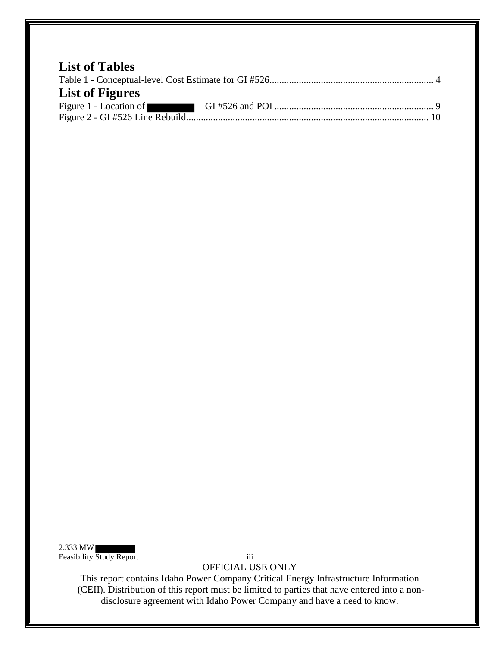| <b>List of Tables</b>  |  |
|------------------------|--|
|                        |  |
| <b>List of Figures</b> |  |
|                        |  |
|                        |  |

2.333 MW Feasibility Study Report iii

OFFICIAL USE ONLY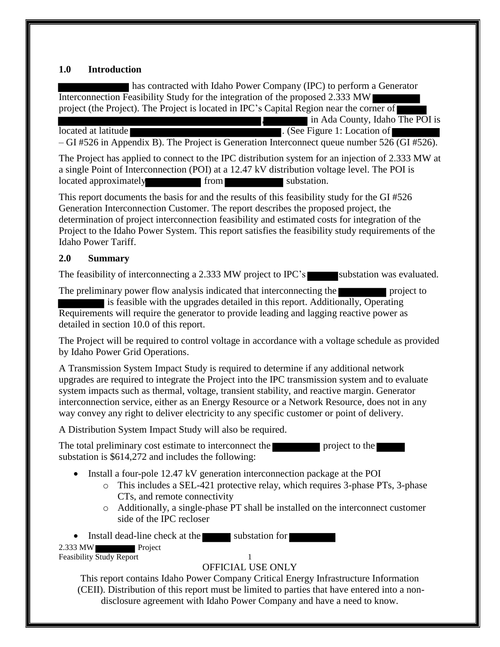### <span id="page-4-0"></span>**1.0 Introduction**

has contracted with Idaho Power Company (IPC) to perform a Generator Interconnection Feasibility Study for the integration of the proposed 2.333 MW project (the Project). The Project is located in IPC's Capital Region near the corner of , in Ada County, Idaho The POI is located at latitude **.** (See Figure 1: Location of  $\blacksquare$ 

– GI #526 in Appendix B). The Project is Generation Interconnect queue number 526 (GI #526).

The Project has applied to connect to the IPC distribution system for an injection of 2.333 MW at a single Point of Interconnection (POI) at a 12.47 kV distribution voltage level. The POI is located approximately from substation.

This report documents the basis for and the results of this feasibility study for the GI #526 Generation Interconnection Customer. The report describes the proposed project, the determination of project interconnection feasibility and estimated costs for integration of the Project to the Idaho Power System. This report satisfies the feasibility study requirements of the Idaho Power Tariff.

### <span id="page-4-1"></span>**2.0 Summary**

The feasibility of interconnecting a 2.333 MW project to IPC's substation was evaluated.

The preliminary power flow analysis indicated that interconnecting the project to

is feasible with the upgrades detailed in this report. Additionally, Operating Requirements will require the generator to provide leading and lagging reactive power as detailed in section 10.0 of this report.

The Project will be required to control voltage in accordance with a voltage schedule as provided by Idaho Power Grid Operations.

A Transmission System Impact Study is required to determine if any additional network upgrades are required to integrate the Project into the IPC transmission system and to evaluate system impacts such as thermal, voltage, transient stability, and reactive margin. Generator interconnection service, either as an Energy Resource or a Network Resource, does not in any way convey any right to deliver electricity to any specific customer or point of delivery.

A Distribution System Impact Study will also be required.

The total preliminary cost estimate to interconnect the project to the project to the project to the project to the project to the project to the project to the project to the project to the project to the project to the p substation is \$614,272 and includes the following:

- Install a four-pole 12.47 kV generation interconnection package at the POI
	- o This includes a SEL-421 protective relay, which requires 3-phase PTs, 3-phase CTs, and remote connectivity
	- o Additionally, a single-phase PT shall be installed on the interconnect customer side of the IPC recloser

2.333 MW Project • Install dead-line check at the substation for

Feasibility Study Report 1

# OFFICIAL USE ONLY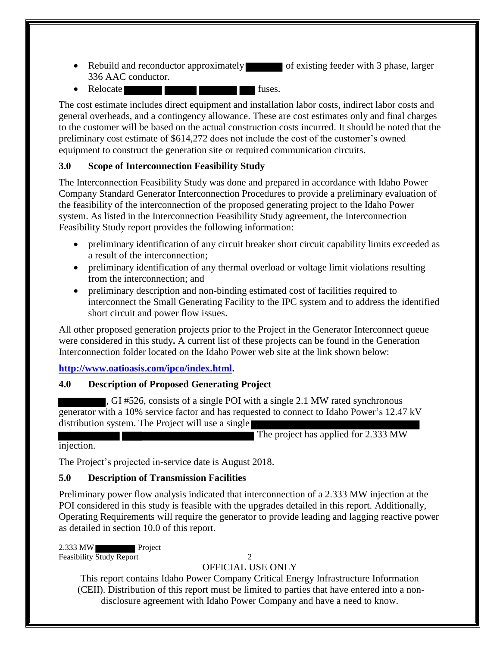- Rebuild and reconductor approximately of existing feeder with 3 phase, larger 336 AAC conductor.
- Relocate fuses.

The cost estimate includes direct equipment and installation labor costs, indirect labor costs and general overheads, and a contingency allowance. These are cost estimates only and final charges to the customer will be based on the actual construction costs incurred. It should be noted that the preliminary cost estimate of \$614,272 does not include the cost of the customer's owned equipment to construct the generation site or required communication circuits.

# <span id="page-5-0"></span>**3.0 Scope of Interconnection Feasibility Study**

The Interconnection Feasibility Study was done and prepared in accordance with Idaho Power Company Standard Generator Interconnection Procedures to provide a preliminary evaluation of the feasibility of the interconnection of the proposed generating project to the Idaho Power system. As listed in the Interconnection Feasibility Study agreement, the Interconnection Feasibility Study report provides the following information:

- preliminary identification of any circuit breaker short circuit capability limits exceeded as a result of the interconnection;
- preliminary identification of any thermal overload or voltage limit violations resulting from the interconnection; and
- preliminary description and non-binding estimated cost of facilities required to interconnect the Small Generating Facility to the IPC system and to address the identified short circuit and power flow issues.

All other proposed generation projects prior to the Project in the Generator Interconnect queue were considered in this study**.** A current list of these projects can be found in the Generation Interconnection folder located on the Idaho Power web site at the link shown below:

### **[http://www.oatioasis.com/ipco/index.html.](http://www.oatioasis.com/ipco/index.html)**

# <span id="page-5-1"></span>**4.0 Description of Proposed Generating Project**

, GI #526, consists of a single POI with a single 2.1 MW rated synchronous generator with a 10% service factor and has requested to connect to Idaho Power's 12.47 kV distribution system. The Project will use a single

The project has applied for 2.333 MW

injection.

The Project's projected in-service date is August 2018.

# <span id="page-5-2"></span>**5.0 Description of Transmission Facilities**

Preliminary power flow analysis indicated that interconnection of a 2.333 MW injection at the POI considered in this study is feasible with the upgrades detailed in this report. Additionally, Operating Requirements will require the generator to provide leading and lagging reactive power as detailed in section 10.0 of this report.

2.333 MW Project Feasibility Study Report 2

# OFFICIAL USE ONLY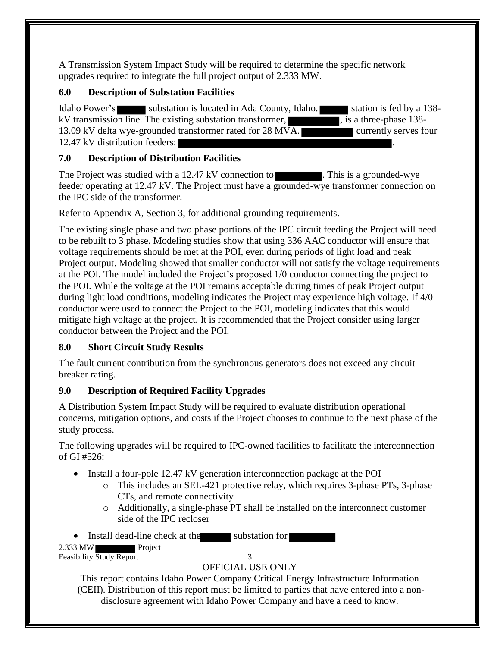A Transmission System Impact Study will be required to determine the specific network upgrades required to integrate the full project output of 2.333 MW.

### <span id="page-6-0"></span>**6.0 Description of Substation Facilities**

Idaho Power's substation is located in Ada County, Idaho. station is fed by a 138kV transmission line. The existing substation transformer,  $\blacksquare$ , is a three-phase 138-13.09 kV delta wye-grounded transformer rated for 28 MVA. 12.47 kV distribution feeders:

# <span id="page-6-1"></span>**7.0 Description of Distribution Facilities**

The Project was studied with a 12.47 kV connection to **The Connection 1.** This is a grounded-wye feeder operating at 12.47 kV. The Project must have a grounded-wye transformer connection on the IPC side of the transformer.

Refer to Appendix A, Section 3, for additional grounding requirements.

The existing single phase and two phase portions of the IPC circuit feeding the Project will need to be rebuilt to 3 phase. Modeling studies show that using 336 AAC conductor will ensure that voltage requirements should be met at the POI, even during periods of light load and peak Project output. Modeling showed that smaller conductor will not satisfy the voltage requirements at the POI. The model included the Project's proposed 1/0 conductor connecting the project to the POI. While the voltage at the POI remains acceptable during times of peak Project output during light load conditions, modeling indicates the Project may experience high voltage. If 4/0 conductor were used to connect the Project to the POI, modeling indicates that this would mitigate high voltage at the project. It is recommended that the Project consider using larger conductor between the Project and the POI.

# <span id="page-6-2"></span>**8.0 Short Circuit Study Results**

The fault current contribution from the synchronous generators does not exceed any circuit breaker rating.

# <span id="page-6-3"></span>**9.0 Description of Required Facility Upgrades**

A Distribution System Impact Study will be required to evaluate distribution operational concerns, mitigation options, and costs if the Project chooses to continue to the next phase of the study process.

The following upgrades will be required to IPC-owned facilities to facilitate the interconnection of GI #526:

- Install a four-pole 12.47 kV generation interconnection package at the POI
	- o This includes an SEL-421 protective relay, which requires 3-phase PTs, 3-phase CTs, and remote connectivity
	- o Additionally, a single-phase PT shall be installed on the interconnect customer side of the IPC recloser

• Install dead-line check at the substation for

2.333 MW Project Feasibility Study Report 3

# OFFICIAL USE ONLY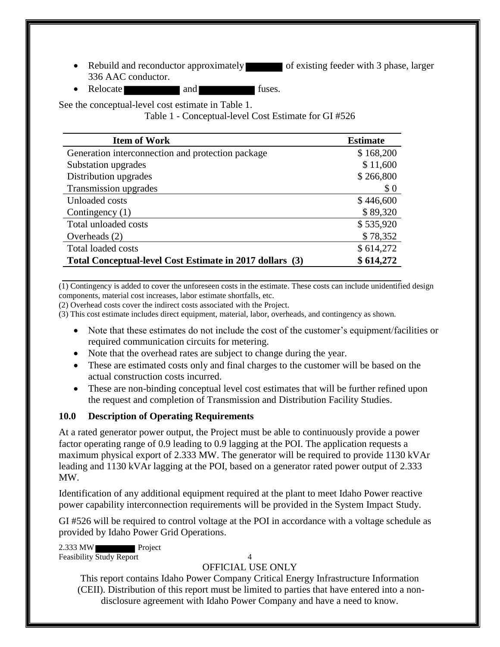- Rebuild and reconductor approximately of existing feeder with 3 phase, larger 336 AAC conductor.
- Relocate and and fuses.

<span id="page-7-1"></span>See the conceptual-level cost estimate in Table 1.

Table 1 - Conceptual-level Cost Estimate for GI #526

| <b>Item of Work</b>                                      | <b>Estimate</b> |
|----------------------------------------------------------|-----------------|
| Generation interconnection and protection package        | \$168,200       |
| Substation upgrades                                      | \$11,600        |
| Distribution upgrades                                    | \$266,800       |
| Transmission upgrades                                    | \$0             |
| Unloaded costs                                           | \$446,600       |
| Contingency $(1)$                                        | \$89,320        |
| Total unloaded costs                                     | \$535,920       |
| Overheads $(2)$                                          | \$78,352        |
| Total loaded costs                                       | \$614,272       |
| Total Conceptual-level Cost Estimate in 2017 dollars (3) | \$614,272       |

(1) Contingency is added to cover the unforeseen costs in the estimate. These costs can include unidentified design components, material cost increases, labor estimate shortfalls, etc.

(2) Overhead costs cover the indirect costs associated with the Project.

(3) This cost estimate includes direct equipment, material, labor, overheads, and contingency as shown.

- Note that these estimates do not include the cost of the customer's equipment/facilities or required communication circuits for metering.
- Note that the overhead rates are subject to change during the year.
- These are estimated costs only and final charges to the customer will be based on the actual construction costs incurred.
- These are non-binding conceptual level cost estimates that will be further refined upon the request and completion of Transmission and Distribution Facility Studies.

### <span id="page-7-0"></span>**10.0 Description of Operating Requirements**

At a rated generator power output, the Project must be able to continuously provide a power factor operating range of 0.9 leading to 0.9 lagging at the POI. The application requests a maximum physical export of 2.333 MW. The generator will be required to provide 1130 kVAr leading and 1130 kVAr lagging at the POI, based on a generator rated power output of 2.333 MW.

Identification of any additional equipment required at the plant to meet Idaho Power reactive power capability interconnection requirements will be provided in the System Impact Study.

GI #526 will be required to control voltage at the POI in accordance with a voltage schedule as provided by Idaho Power Grid Operations.

2.333 MW Project Feasibility Study Report 4

### OFFICIAL USE ONLY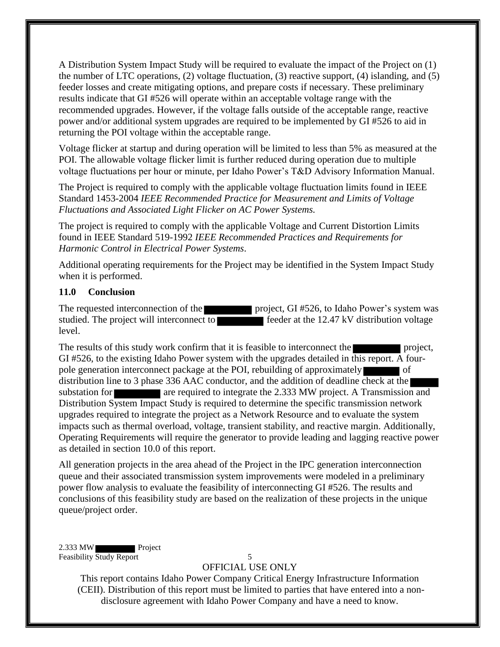A Distribution System Impact Study will be required to evaluate the impact of the Project on (1) the number of LTC operations, (2) voltage fluctuation, (3) reactive support, (4) islanding, and (5) feeder losses and create mitigating options, and prepare costs if necessary. These preliminary results indicate that GI #526 will operate within an acceptable voltage range with the recommended upgrades. However, if the voltage falls outside of the acceptable range, reactive power and/or additional system upgrades are required to be implemented by GI #526 to aid in returning the POI voltage within the acceptable range.

Voltage flicker at startup and during operation will be limited to less than 5% as measured at the POI. The allowable voltage flicker limit is further reduced during operation due to multiple voltage fluctuations per hour or minute, per Idaho Power's T&D Advisory Information Manual.

The Project is required to comply with the applicable voltage fluctuation limits found in IEEE Standard 1453-2004 *IEEE Recommended Practice for Measurement and Limits of Voltage Fluctuations and Associated Light Flicker on AC Power Systems.* 

The project is required to comply with the applicable Voltage and Current Distortion Limits found in IEEE Standard 519-1992 *IEEE Recommended Practices and Requirements for Harmonic Control in Electrical Power Systems*.

Additional operating requirements for the Project may be identified in the System Impact Study when it is performed.

#### <span id="page-8-0"></span>**11.0 Conclusion**

The requested interconnection of the project, GI #526, to Idaho Power's system was studied. The project will interconnect to feeder at the 12.47 kV distribution voltage level.

The results of this study work confirm that it is feasible to interconnect the project, GI #526, to the existing Idaho Power system with the upgrades detailed in this report. A fourpole generation interconnect package at the POI, rebuilding of approximately of distribution line to 3 phase 336 AAC conductor, and the addition of deadline check at the substation for a required to integrate the 2.333 MW project. A Transmission and Distribution System Impact Study is required to determine the specific transmission network upgrades required to integrate the project as a Network Resource and to evaluate the system impacts such as thermal overload, voltage, transient stability, and reactive margin. Additionally, Operating Requirements will require the generator to provide leading and lagging reactive power as detailed in section 10.0 of this report.

All generation projects in the area ahead of the Project in the IPC generation interconnection queue and their associated transmission system improvements were modeled in a preliminary power flow analysis to evaluate the feasibility of interconnecting GI #526. The results and conclusions of this feasibility study are based on the realization of these projects in the unique queue/project order.

2.333 MW Project Feasibility Study Report 5

#### OFFICIAL USE ONLY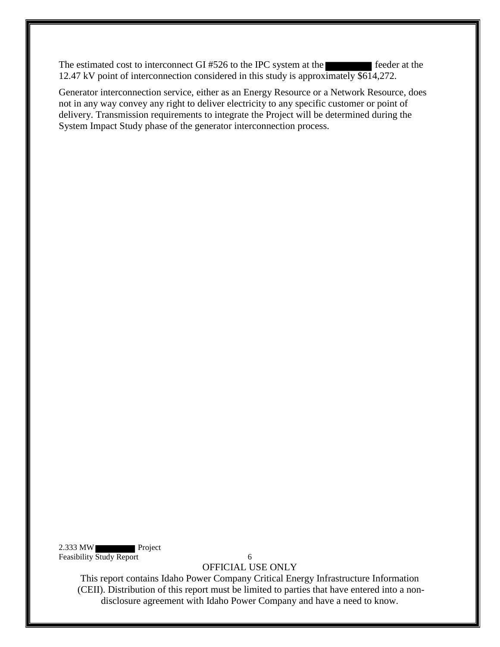The estimated cost to interconnect GI #526 to the IPC system at the feeder at the 12.47 kV point of interconnection considered in this study is approximately \$614,272.

Generator interconnection service, either as an Energy Resource or a Network Resource, does not in any way convey any right to deliver electricity to any specific customer or point of delivery. Transmission requirements to integrate the Project will be determined during the System Impact Study phase of the generator interconnection process.

2.333 MW Project Feasibility Study Report 6

OFFICIAL USE ONLY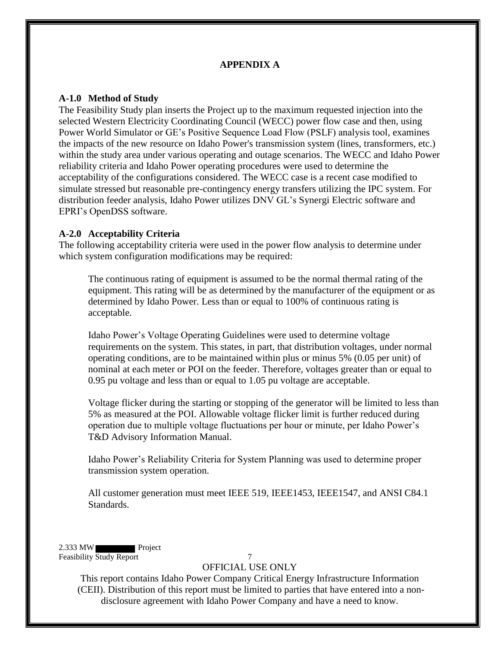### **APPENDIX A**

#### <span id="page-10-1"></span><span id="page-10-0"></span>**A-1.0 Method of Study**

The Feasibility Study plan inserts the Project up to the maximum requested injection into the selected Western Electricity Coordinating Council (WECC) power flow case and then, using Power World Simulator or GE's Positive Sequence Load Flow (PSLF) analysis tool, examines the impacts of the new resource on Idaho Power's transmission system (lines, transformers, etc.) within the study area under various operating and outage scenarios. The WECC and Idaho Power reliability criteria and Idaho Power operating procedures were used to determine the acceptability of the configurations considered. The WECC case is a recent case modified to simulate stressed but reasonable pre-contingency energy transfers utilizing the IPC system. For distribution feeder analysis, Idaho Power utilizes DNV GL's Synergi Electric software and EPRI's OpenDSS software.

#### <span id="page-10-2"></span>**A-2.0 Acceptability Criteria**

The following acceptability criteria were used in the power flow analysis to determine under which system configuration modifications may be required:

The continuous rating of equipment is assumed to be the normal thermal rating of the equipment. This rating will be as determined by the manufacturer of the equipment or as determined by Idaho Power. Less than or equal to 100% of continuous rating is acceptable.

Idaho Power's Voltage Operating Guidelines were used to determine voltage requirements on the system. This states, in part, that distribution voltages, under normal operating conditions, are to be maintained within plus or minus 5% (0.05 per unit) of nominal at each meter or POI on the feeder. Therefore, voltages greater than or equal to 0.95 pu voltage and less than or equal to 1.05 pu voltage are acceptable.

Voltage flicker during the starting or stopping of the generator will be limited to less than 5% as measured at the POI. Allowable voltage flicker limit is further reduced during operation due to multiple voltage fluctuations per hour or minute, per Idaho Power's T&D Advisory Information Manual.

Idaho Power's Reliability Criteria for System Planning was used to determine proper transmission system operation.

All customer generation must meet IEEE 519, IEEE1453, IEEE1547, and ANSI C84.1 Standards.

2.333 MW Project Feasibility Study Report 7

### OFFICIAL USE ONLY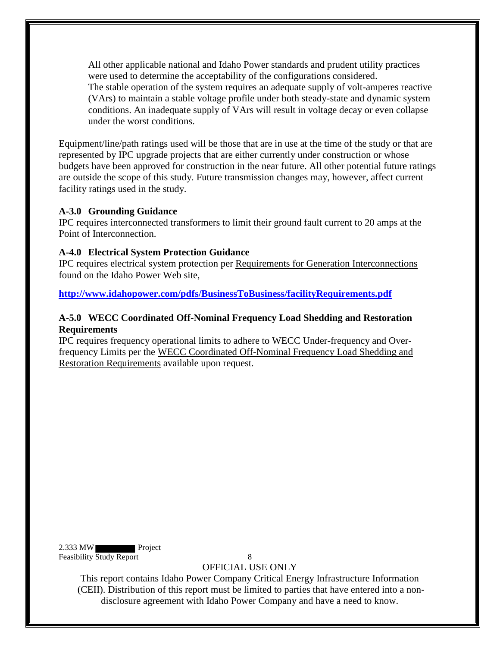All other applicable national and Idaho Power standards and prudent utility practices were used to determine the acceptability of the configurations considered. The stable operation of the system requires an adequate supply of volt-amperes reactive (VArs) to maintain a stable voltage profile under both steady-state and dynamic system conditions. An inadequate supply of VArs will result in voltage decay or even collapse under the worst conditions.

Equipment/line/path ratings used will be those that are in use at the time of the study or that are represented by IPC upgrade projects that are either currently under construction or whose budgets have been approved for construction in the near future. All other potential future ratings are outside the scope of this study. Future transmission changes may, however, affect current facility ratings used in the study.

#### <span id="page-11-0"></span>**A-3.0 Grounding Guidance**

IPC requires interconnected transformers to limit their ground fault current to 20 amps at the Point of Interconnection.

#### <span id="page-11-1"></span>**A-4.0 Electrical System Protection Guidance**

IPC requires electrical system protection per Requirements for Generation Interconnections found on the Idaho Power Web site,

**<http://www.idahopower.com/pdfs/BusinessToBusiness/facilityRequirements.pdf>**

### <span id="page-11-2"></span>**A-5.0 WECC Coordinated Off-Nominal Frequency Load Shedding and Restoration Requirements**

IPC requires frequency operational limits to adhere to WECC Under-frequency and Overfrequency Limits per the WECC Coordinated Off-Nominal Frequency Load Shedding and Restoration Requirements available upon request.

2.333 MW Project Feasibility Study Report 8

OFFICIAL USE ONLY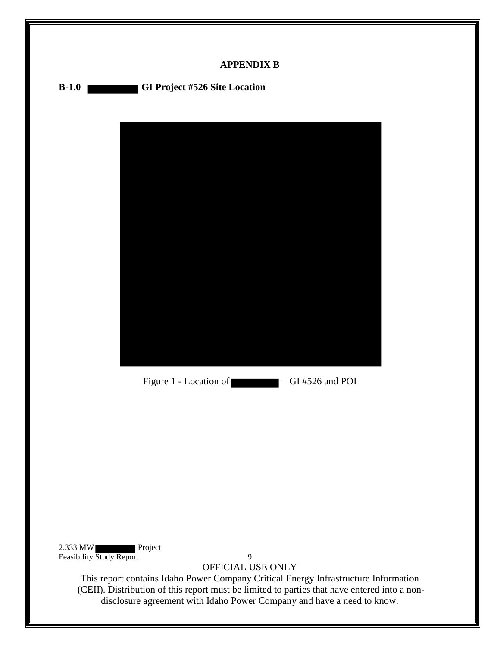<span id="page-12-0"></span>